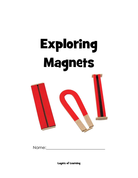# Exploring Magnets



Name: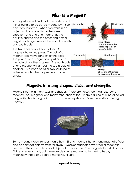## What is a Magnet?

A magnet is an object that can push or pull things using a force called magnetism. You can't see this force. When electrons in an object all line up and face the same direction, one end of a magnet gets a positive charge and the other end gets a negative charge (we call the ends the north and south poles).

The two ends attract each other. All magnets have two poles. The pull of a magnet is it's very strongest at the poles. The pole of one magnet can pull or push the pole of another magnet. The north pole of one magnet will attract the south pole of another. Two north poles or two south poles will repel each other, or push each other away.



## Magnets in many shapes, sizes, and strengths

Magnets come in many sizes and shapes. There are horseshoe magnets, round magnets, bar magnets, and many other shapes too. There is a kind of mineral called magnetite that is magnetic. It can come in any shape. Even the earth is one big magnet.



Some magnets are stronger than others. Strong magnets have strong magnetic fields and can attract objects from far away. Weaker magnets have weaker magnetic fields and they can only attract objects that are close. The magnets that stick to our fridges are very small, but there are also huge magnets attached to heavy machinery that pick up scrap metal in junkyards.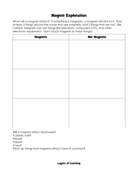# Magnet Exploration

What will a magnet attract? If something is magnetic, a magnet will stick to it. Find at least 3 things around the house that are magnetic and 3 things that are not. (Be careful! Magnets can ruin things like televisions, computers, CD's, and other electronic equipment. Don't touch magnets to these things!)

| <b>Magnetic</b> | <b>Not Magnetic</b> |
|-----------------|---------------------|
|                 |                     |
|                 |                     |
|                 |                     |
|                 |                     |
|                 |                     |
|                 |                     |
|                 |                     |
|                 |                     |
|                 |                     |
|                 |                     |
|                 |                     |
|                 |                     |
|                 |                     |
|                 |                     |
|                 |                     |
|                 |                     |

Will a magnet attract silverware? A plastic ball? Wood? Paper? A key? What do things that magnets attract have in common?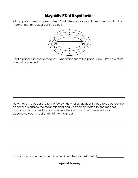## Magnetic Field Experiment

All magnets have a magnetic field. That's the space around a magnet in which the magnet can attract, or pull in, objects.



Hold a paper clip near a magnet. What happens to the paper clip? Draw a picture of what happened.

Now move the paper clip further away. How far away does it need to be before the paper clip is outside the magnetic field and won't be attracted by the magnet anymore? Draw a picture and measure the distance (The answer will vary depending upon the strength of the magnet.)

How far away was the paperclip when it left the magnetic field?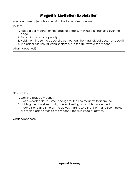## Magnetic Levitation Exploration

You can make objects levitate using the force of magnetism.

Try this:

- 1. Place a bar magnet on the edge of a table, with just a bit hanging over the edge.
- 2. Tie a string onto a paper clip.
- 3. Hold the string so the paper clip comes near the magnet, but does not touch it.
- 4. The paper clip should stand straight out in the air, toward the magnet.

What happened?

Now try this:

- 1. Get ring-shaped magnets.
- 2. Get a wooden dowel, small enough for the ring magnets to fit around.
- 3. Holding the dowel vertically, one end resting on a table, place the ring magnets one at a time on the dowel, making sure that North and South poles are facing each other, so the magnets repel, instead of attract.

What happened?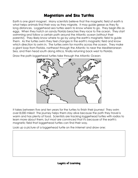# Magnetism and Sea Turtles

Earth is one giant magnet. Many scientists believe that the magnetic field of earth is what helps animals find their way as they migrate. It may guide geese as they fly long distances. Loggerhead sea turtles seem to know where to go. They begin life as eggs. When they hatch on sandy Florida beaches they race to the ocean. They start swimming and follow a certain path around the Atlantic ocean (without their parents!). They likely know where to go by using the earth's magnetic field to guide them. As the turtles swim they feel changes in the earth's magnetic field and know which direction to swim in. The turtles swim for months across the ocean. They make a giant loop from Florida, northeast through the Atlantic to near the Mediterranean Sea, and then head south along Africa, finally returning back west to Florida.

Draw the path loggerhead turtles take through the Atlantic Ocean:



It takes between five and ten years for the turtles to finish their journey! They swim over 8,000 miles!! The journey helps them stay alive because the path they travel is warm and has plenty of food. Scientists are tracking loggerhead turtles with radios to learn more about them, but most are convinced that it's because of the earth's magnetic field that loggerhead turtles can find their way.

Look up a picture of a loggerhead turtle on the internet and draw one: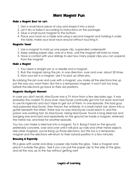## More Magnet Fun

#### Make a Magnet Boat (or car):

- 1. Get a small block piece of clay and shape it into a boat.
- 2. Let it dry or bake it according to instructions on the package.
- 3. Glue a small round magnet to the bottom.
- 4. Place your boat on a table and using a second magnet and holding it under the table, make your boat race around without touching it.

#### Magnetic Tower

- 1. Use a magnet to hold up one paper clip, suspended underneath
- 2. Keep adding paper clips, one at a time, until the magnet will hold no more.
- 3. Have a contest with your siblings to see how many paper clips you can suspend from the magnet.

#### Make a Magnet

- 1. You need a straight pin or a needle and a magnet.
- 2. Rub the magnet along the pin, in one direction, over and over, about 30 times
- 3. Now your pin is a magnet. Use it to pick up other pins.

By rubbing the pin over and over with a magnet, you make all the electrons line up just the way you want them. But this is a temporary magnet, it won't last too long before the electrons go back to their old positions.

#### Magnetic MacGyver Moment

In case you don't recall, MacGyver was a TV show from a few decades ago. It was probably the coolest TV show ever. MacGyver continually got into hot spots and had to use his ingenuity and duct tape to get out of them. In one episode, the bad guys had poisoned MacGyver, then thrown the antidote, in a small metal vial, down into a gutter beneath the street. There was no way MacGyver could reach it, and the poison was working fast. So MacGyver, being MacGyver, found a long steel bar and banging one end hard and repeatedly on the ground he made a magnet, retrieved the metal vial, and lived for another episode.

You too can make a steel bar into a magnet. Try it. Bang it hard on the ground, preferably concrete, over and over until it will pick up nails and other metal objects. Like other magnets, you're lining up those electrons, but this too is a temporary magnet and the electrons will return to their natural position in a few minutes.

### Rescuing A Paperclip

Fill a glass with water and drop a paper clip inside the glass. Take a magnet and place it outside the glass. See if you can pull the paper clip to the side of the glass and all the way up to the top without getting wet!